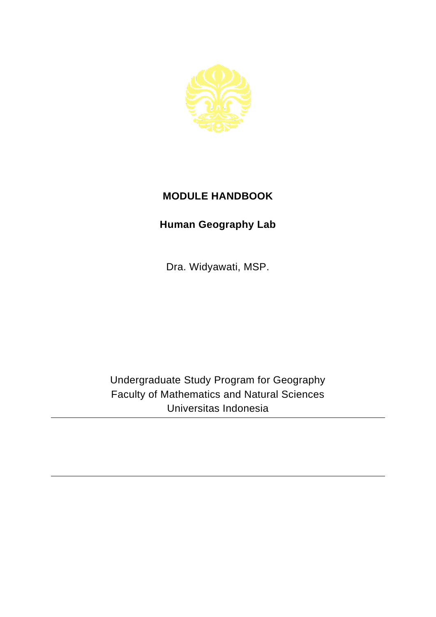

## **MODULE HANDBOOK**

## **Human Geography Lab**

Dra. Widyawati, MSP.

Undergraduate Study Program for Geography Faculty of Mathematics and Natural Sciences Universitas Indonesia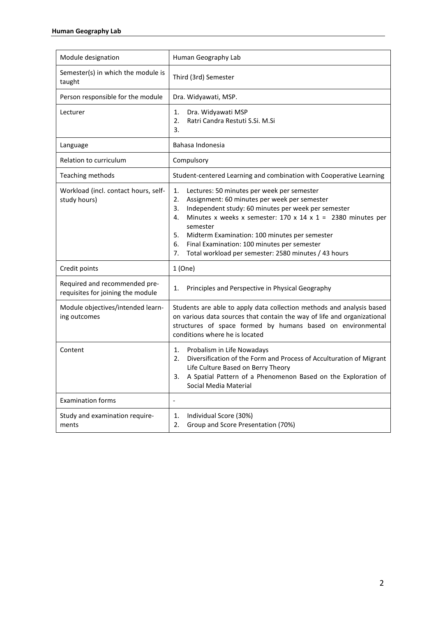| Module designation                                                 | Human Geography Lab                                                                                                                                                                                                                                                                                                                                                                                                                        |
|--------------------------------------------------------------------|--------------------------------------------------------------------------------------------------------------------------------------------------------------------------------------------------------------------------------------------------------------------------------------------------------------------------------------------------------------------------------------------------------------------------------------------|
| Semester(s) in which the module is<br>taught                       | Third (3rd) Semester                                                                                                                                                                                                                                                                                                                                                                                                                       |
| Person responsible for the module                                  | Dra. Widyawati, MSP.                                                                                                                                                                                                                                                                                                                                                                                                                       |
| Lecturer                                                           | Dra. Widyawati MSP<br>1.<br>Ratri Candra Restuti S.Si. M.Si<br>2.<br>3.                                                                                                                                                                                                                                                                                                                                                                    |
| Language                                                           | Bahasa Indonesia                                                                                                                                                                                                                                                                                                                                                                                                                           |
| Relation to curriculum                                             | Compulsory                                                                                                                                                                                                                                                                                                                                                                                                                                 |
| Teaching methods                                                   | Student-centered Learning and combination with Cooperative Learning                                                                                                                                                                                                                                                                                                                                                                        |
| Workload (incl. contact hours, self-<br>study hours)               | Lectures: 50 minutes per week per semester<br>1.<br>Assignment: 60 minutes per week per semester<br>2.<br>Independent study: 60 minutes per week per semester<br>3.<br>Minutes x weeks x semester: $170 \times 14 \times 1 = 2380$ minutes per<br>4.<br>semester<br>5.<br>Midterm Examination: 100 minutes per semester<br>Final Examination: 100 minutes per semester<br>6.<br>Total workload per semester: 2580 minutes / 43 hours<br>7. |
| Credit points                                                      | 1(One)                                                                                                                                                                                                                                                                                                                                                                                                                                     |
| Required and recommended pre-<br>requisites for joining the module | Principles and Perspective in Physical Geography<br>1.                                                                                                                                                                                                                                                                                                                                                                                     |
| Module objectives/intended learn-<br>ing outcomes                  | Students are able to apply data collection methods and analysis based<br>on various data sources that contain the way of life and organizational<br>structures of space formed by humans based on environmental<br>conditions where he is located                                                                                                                                                                                          |
| Content                                                            | Probalism in Life Nowadays<br>1.<br>Diversification of the Form and Process of Acculturation of Migrant<br>2.<br>Life Culture Based on Berry Theory<br>A Spatial Pattern of a Phenomenon Based on the Exploration of<br>Social Media Material                                                                                                                                                                                              |
| <b>Examination forms</b>                                           | $\overline{\phantom{a}}$                                                                                                                                                                                                                                                                                                                                                                                                                   |
| Study and examination require-<br>ments                            | Individual Score (30%)<br>1.<br>Group and Score Presentation (70%)<br>2.                                                                                                                                                                                                                                                                                                                                                                   |